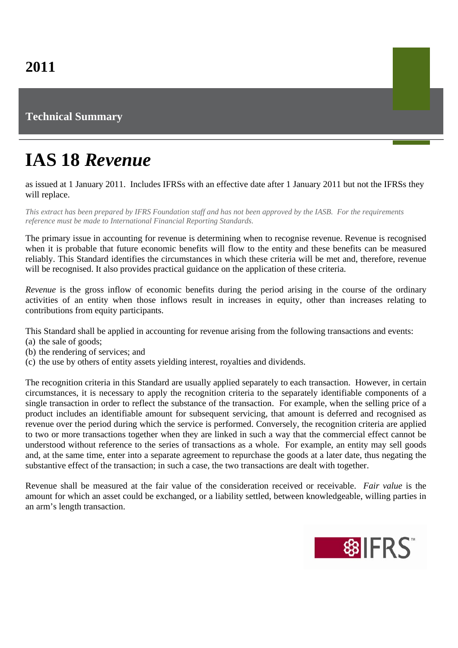# **Technical Summary**

# **IAS 18** *Revenue*

as issued at 1 January 2011. Includes IFRSs with an effective date after 1 January 2011 but not the IFRSs they will replace.

*This extract has been prepared by IFRS Foundation staff and has not been approved by the IASB. For the requirements reference must be made to International Financial Reporting Standards.*

The primary issue in accounting for revenue is determining when to recognise revenue. Revenue is recognised when it is probable that future economic benefits will flow to the entity and these benefits can be measured reliably. This Standard identifies the circumstances in which these criteria will be met and, therefore, revenue will be recognised. It also provides practical guidance on the application of these criteria.

*Revenue* is the gross inflow of economic benefits during the period arising in the course of the ordinary activities of an entity when those inflows result in increases in equity, other than increases relating to contributions from equity participants.

This Standard shall be applied in accounting for revenue arising from the following transactions and events:

- (a) the sale of goods;
- (b) the rendering of services; and
- (c) the use by others of entity assets yielding interest, royalties and dividends.

The recognition criteria in this Standard are usually applied separately to each transaction. However, in certain circumstances, it is necessary to apply the recognition criteria to the separately identifiable components of a single transaction in order to reflect the substance of the transaction. For example, when the selling price of a product includes an identifiable amount for subsequent servicing, that amount is deferred and recognised as revenue over the period during which the service is performed. Conversely, the recognition criteria are applied to two or more transactions together when they are linked in such a way that the commercial effect cannot be understood without reference to the series of transactions as a whole. For example, an entity may sell goods and, at the same time, enter into a separate agreement to repurchase the goods at a later date, thus negating the substantive effect of the transaction; in such a case, the two transactions are dealt with together.

Revenue shall be measured at the fair value of the consideration received or receivable. *Fair value* is the amount for which an asset could be exchanged, or a liability settled, between knowledgeable, willing parties in an arm's length transaction.